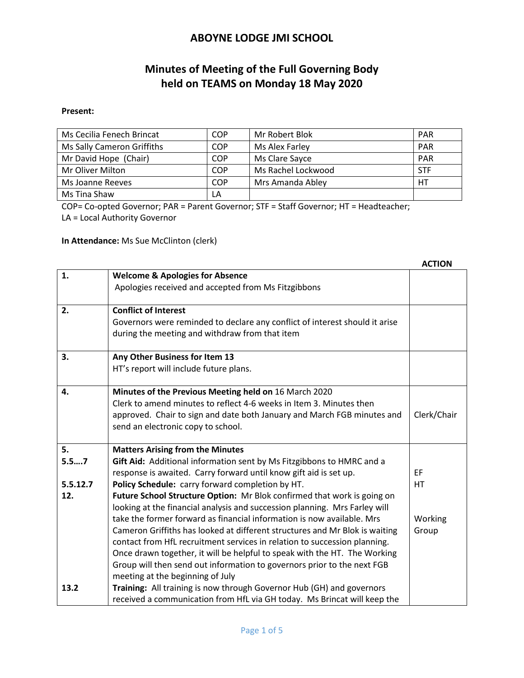# **Minutes of Meeting of the Full Governing Body held on TEAMS on Monday 18 May 2020**

#### **Present:**

| Ms Cecilia Fenech Brincat  | COP        | Mr Robert Blok     | <b>PAR</b> |
|----------------------------|------------|--------------------|------------|
| Ms Sally Cameron Griffiths | COP        | Ms Alex Farley     | <b>PAR</b> |
| Mr David Hope (Chair)      | <b>COP</b> | Ms Clare Sayce     | <b>PAR</b> |
| Mr Oliver Milton           | COP        | Ms Rachel Lockwood | <b>STF</b> |
| Ms Joanne Reeves           | COP        | Mrs Amanda Abley   | HТ         |
| Ms Tina Shaw               | LA         |                    |            |

COP= Co-opted Governor; PAR = Parent Governor; STF = Staff Governor; HT = Headteacher;

LA = Local Authority Governor

**In Attendance:** Ms Sue McClinton (clerk)

|          |                                                                                                                              | ACTION      |
|----------|------------------------------------------------------------------------------------------------------------------------------|-------------|
| 1.       | <b>Welcome &amp; Apologies for Absence</b>                                                                                   |             |
|          | Apologies received and accepted from Ms Fitzgibbons                                                                          |             |
|          |                                                                                                                              |             |
| 2.       | <b>Conflict of Interest</b>                                                                                                  |             |
|          | Governors were reminded to declare any conflict of interest should it arise                                                  |             |
|          | during the meeting and withdraw from that item                                                                               |             |
| 3.       | Any Other Business for Item 13                                                                                               |             |
|          | HT's report will include future plans.                                                                                       |             |
|          |                                                                                                                              |             |
| 4.       | Minutes of the Previous Meeting held on 16 March 2020<br>Clerk to amend minutes to reflect 4-6 weeks in Item 3. Minutes then |             |
|          |                                                                                                                              |             |
|          | approved. Chair to sign and date both January and March FGB minutes and                                                      | Clerk/Chair |
|          | send an electronic copy to school.                                                                                           |             |
| 5.       | <b>Matters Arising from the Minutes</b>                                                                                      |             |
| 5.57     | Gift Aid: Additional information sent by Ms Fitzgibbons to HMRC and a                                                        |             |
|          | response is awaited. Carry forward until know gift aid is set up.                                                            | EF          |
| 5.5.12.7 | Policy Schedule: carry forward completion by HT.                                                                             | HT          |
| 12.      | Future School Structure Option: Mr Blok confirmed that work is going on                                                      |             |
|          | looking at the financial analysis and succession planning. Mrs Farley will                                                   |             |
|          | take the former forward as financial information is now available. Mrs                                                       | Working     |
|          | Cameron Griffiths has looked at different structures and Mr Blok is waiting                                                  | Group       |
|          | contact from HfL recruitment services in relation to succession planning.                                                    |             |
|          | Once drawn together, it will be helpful to speak with the HT. The Working                                                    |             |
|          | Group will then send out information to governors prior to the next FGB                                                      |             |
|          | meeting at the beginning of July                                                                                             |             |
| 13.2     | Training: All training is now through Governor Hub (GH) and governors                                                        |             |
|          | received a communication from HfL via GH today. Ms Brincat will keep the                                                     |             |

#### **ACTION**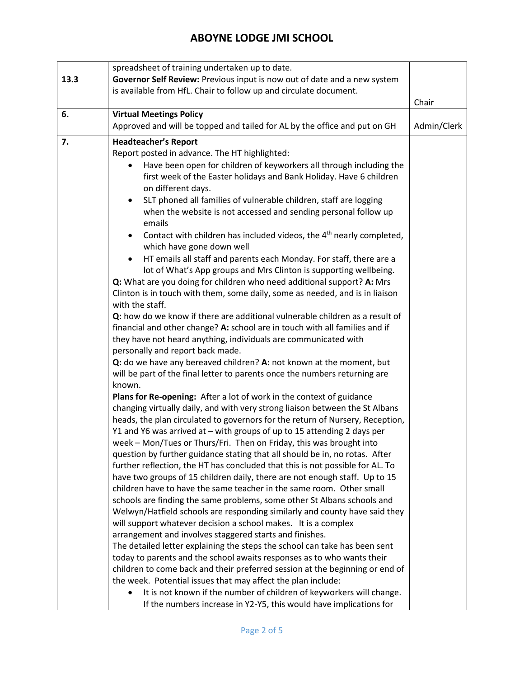|      | spreadsheet of training undertaken up to date.                                                |             |  |  |  |
|------|-----------------------------------------------------------------------------------------------|-------------|--|--|--|
| 13.3 | Governor Self Review: Previous input is now out of date and a new system                      |             |  |  |  |
|      | is available from HfL. Chair to follow up and circulate document.                             |             |  |  |  |
|      |                                                                                               | Chair       |  |  |  |
| 6.   | <b>Virtual Meetings Policy</b>                                                                |             |  |  |  |
|      | Approved and will be topped and tailed for AL by the office and put on GH                     | Admin/Clerk |  |  |  |
| 7.   | <b>Headteacher's Report</b>                                                                   |             |  |  |  |
|      | Report posted in advance. The HT highlighted:                                                 |             |  |  |  |
|      | Have been open for children of keyworkers all through including the                           |             |  |  |  |
|      | first week of the Easter holidays and Bank Holiday. Have 6 children                           |             |  |  |  |
|      | on different days.                                                                            |             |  |  |  |
|      | SLT phoned all families of vulnerable children, staff are logging<br>$\bullet$                |             |  |  |  |
|      | when the website is not accessed and sending personal follow up<br>emails                     |             |  |  |  |
|      | Contact with children has included videos, the 4 <sup>th</sup> nearly completed,<br>$\bullet$ |             |  |  |  |
|      | which have gone down well                                                                     |             |  |  |  |
|      | HT emails all staff and parents each Monday. For staff, there are a<br>$\bullet$              |             |  |  |  |
|      | lot of What's App groups and Mrs Clinton is supporting wellbeing.                             |             |  |  |  |
|      | Q: What are you doing for children who need additional support? A: Mrs                        |             |  |  |  |
|      | Clinton is in touch with them, some daily, some as needed, and is in liaison                  |             |  |  |  |
|      | with the staff.                                                                               |             |  |  |  |
|      | Q: how do we know if there are additional vulnerable children as a result of                  |             |  |  |  |
|      | financial and other change? A: school are in touch with all families and if                   |             |  |  |  |
|      | they have not heard anything, individuals are communicated with                               |             |  |  |  |
|      | personally and report back made.                                                              |             |  |  |  |
|      | Q: do we have any bereaved children? A: not known at the moment, but                          |             |  |  |  |
|      | will be part of the final letter to parents once the numbers returning are                    |             |  |  |  |
|      | known.                                                                                        |             |  |  |  |
|      | Plans for Re-opening: After a lot of work in the context of guidance                          |             |  |  |  |
|      | changing virtually daily, and with very strong liaison between the St Albans                  |             |  |  |  |
|      | heads, the plan circulated to governors for the return of Nursery, Reception,                 |             |  |  |  |
|      | Y1 and Y6 was arrived at - with groups of up to 15 attending 2 days per                       |             |  |  |  |
|      | week - Mon/Tues or Thurs/Fri. Then on Friday, this was brought into                           |             |  |  |  |
|      | question by further guidance stating that all should be in, no rotas. After                   |             |  |  |  |
|      | further reflection, the HT has concluded that this is not possible for AL. To                 |             |  |  |  |
|      | have two groups of 15 children daily, there are not enough staff. Up to 15                    |             |  |  |  |
|      | children have to have the same teacher in the same room. Other small                          |             |  |  |  |
|      | schools are finding the same problems, some other St Albans schools and                       |             |  |  |  |
|      | Welwyn/Hatfield schools are responding similarly and county have said they                    |             |  |  |  |
|      | will support whatever decision a school makes. It is a complex                                |             |  |  |  |
|      | arrangement and involves staggered starts and finishes.                                       |             |  |  |  |
|      | The detailed letter explaining the steps the school can take has been sent                    |             |  |  |  |
|      | today to parents and the school awaits responses as to who wants their                        |             |  |  |  |
|      | children to come back and their preferred session at the beginning or end of                  |             |  |  |  |
|      | the week. Potential issues that may affect the plan include:                                  |             |  |  |  |
|      | It is not known if the number of children of keyworkers will change.                          |             |  |  |  |
|      | If the numbers increase in Y2-Y5, this would have implications for                            |             |  |  |  |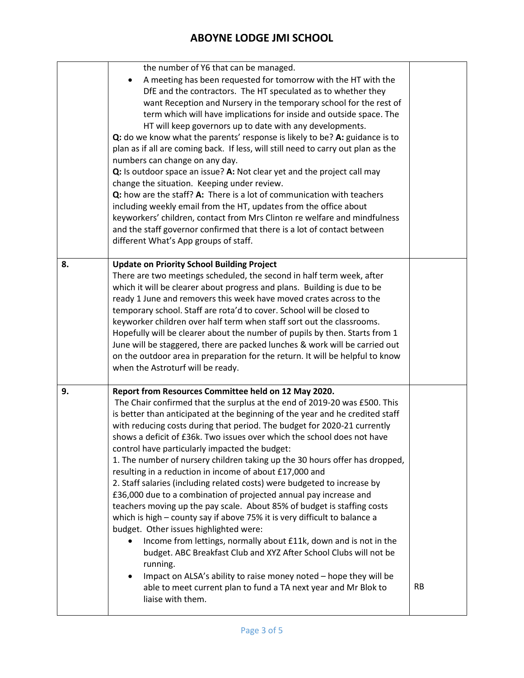|    | A meeting has been requested for tomorrow with the HT with the<br>$\bullet$<br>DfE and the contractors. The HT speculated as to whether they<br>want Reception and Nursery in the temporary school for the rest of<br>term which will have implications for inside and outside space. The<br>HT will keep governors up to date with any developments.<br>Q: do we know what the parents' response is likely to be? A: guidance is to<br>plan as if all are coming back. If less, will still need to carry out plan as the<br>numbers can change on any day.<br>Q: Is outdoor space an issue? A: Not clear yet and the project call may<br>change the situation. Keeping under review.<br>Q: how are the staff? A: There is a lot of communication with teachers<br>including weekly email from the HT, updates from the office about<br>keyworkers' children, contact from Mrs Clinton re welfare and mindfulness<br>and the staff governor confirmed that there is a lot of contact between<br>different What's App groups of staff.                                                                                                                                                                                                                    |           |
|----|----------------------------------------------------------------------------------------------------------------------------------------------------------------------------------------------------------------------------------------------------------------------------------------------------------------------------------------------------------------------------------------------------------------------------------------------------------------------------------------------------------------------------------------------------------------------------------------------------------------------------------------------------------------------------------------------------------------------------------------------------------------------------------------------------------------------------------------------------------------------------------------------------------------------------------------------------------------------------------------------------------------------------------------------------------------------------------------------------------------------------------------------------------------------------------------------------------------------------------------------------------|-----------|
| 8. | <b>Update on Priority School Building Project</b><br>There are two meetings scheduled, the second in half term week, after<br>which it will be clearer about progress and plans. Building is due to be<br>ready 1 June and removers this week have moved crates across to the<br>temporary school. Staff are rota'd to cover. School will be closed to<br>keyworker children over half term when staff sort out the classrooms.<br>Hopefully will be clearer about the number of pupils by then. Starts from 1<br>June will be staggered, there are packed lunches & work will be carried out<br>on the outdoor area in preparation for the return. It will be helpful to know<br>when the Astroturf will be ready.                                                                                                                                                                                                                                                                                                                                                                                                                                                                                                                                      |           |
| 9. | Report from Resources Committee held on 12 May 2020.<br>The Chair confirmed that the surplus at the end of 2019-20 was £500. This<br>is better than anticipated at the beginning of the year and he credited staff<br>with reducing costs during that period. The budget for 2020-21 currently<br>shows a deficit of £36k. Two issues over which the school does not have<br>control have particularly impacted the budget:<br>1. The number of nursery children taking up the 30 hours offer has dropped,<br>resulting in a reduction in income of about £17,000 and<br>2. Staff salaries (including related costs) were budgeted to increase by<br>£36,000 due to a combination of projected annual pay increase and<br>teachers moving up the pay scale. About 85% of budget is staffing costs<br>which is high - county say if above 75% it is very difficult to balance a<br>budget. Other issues highlighted were:<br>Income from lettings, normally about £11k, down and is not in the<br>$\bullet$<br>budget. ABC Breakfast Club and XYZ After School Clubs will not be<br>running.<br>Impact on ALSA's ability to raise money noted - hope they will be<br>able to meet current plan to fund a TA next year and Mr Blok to<br>liaise with them. | <b>RB</b> |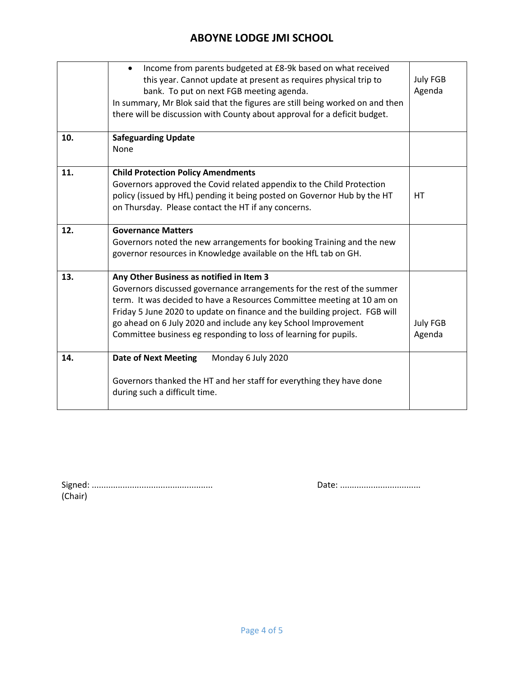|     | Income from parents budgeted at £8-9k based on what received<br>$\bullet$<br>this year. Cannot update at present as requires physical trip to<br>bank. To put on next FGB meeting agenda.<br>In summary, Mr Blok said that the figures are still being worked on and then<br>there will be discussion with County about approval for a deficit budget.                                                           | <b>July FGB</b><br>Agenda |
|-----|------------------------------------------------------------------------------------------------------------------------------------------------------------------------------------------------------------------------------------------------------------------------------------------------------------------------------------------------------------------------------------------------------------------|---------------------------|
| 10. | <b>Safeguarding Update</b><br>None                                                                                                                                                                                                                                                                                                                                                                               |                           |
| 11. | <b>Child Protection Policy Amendments</b><br>Governors approved the Covid related appendix to the Child Protection<br>policy (issued by HfL) pending it being posted on Governor Hub by the HT<br>on Thursday. Please contact the HT if any concerns.                                                                                                                                                            | HT                        |
| 12. | <b>Governance Matters</b><br>Governors noted the new arrangements for booking Training and the new<br>governor resources in Knowledge available on the HfL tab on GH.                                                                                                                                                                                                                                            |                           |
| 13. | Any Other Business as notified in Item 3<br>Governors discussed governance arrangements for the rest of the summer<br>term. It was decided to have a Resources Committee meeting at 10 am on<br>Friday 5 June 2020 to update on finance and the building project. FGB will<br>go ahead on 6 July 2020 and include any key School Improvement<br>Committee business eg responding to loss of learning for pupils. | <b>July FGB</b><br>Agenda |
| 14. | <b>Date of Next Meeting</b><br>Monday 6 July 2020<br>Governors thanked the HT and her staff for everything they have done<br>during such a difficult time.                                                                                                                                                                                                                                                       |                           |

| (Chair) |  |  |  |
|---------|--|--|--|

Signed: ................................................... Date: ..................................